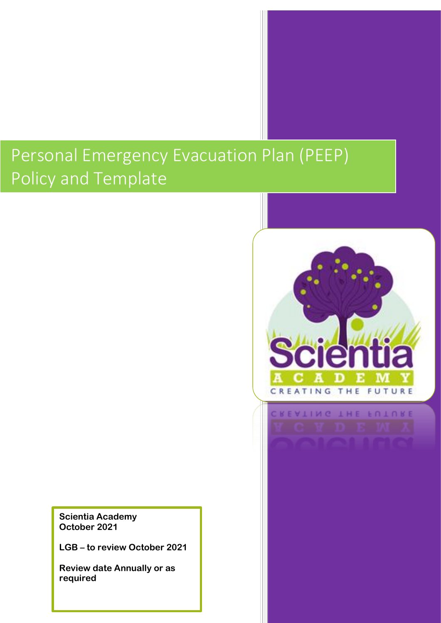# Personal Emergency Evacuation Plan (PEEP) Policy and Template

**Scientia Academy October 2021**

**LGB – to review October 2021**

**Review date Annually or as required**

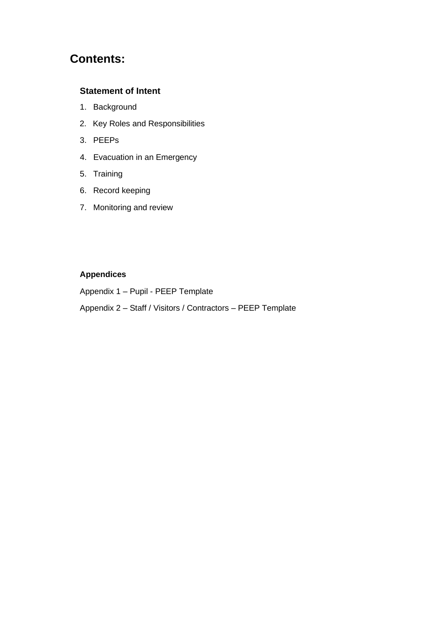# **Contents:**

### **Statement of Intent**

- 1. Background
- 2. Key Roles and Responsibilities
- 3. PEEPs
- 4. Evacuation in an Emergency
- 5. Training
- 6. Record keeping
- 7. Monitoring and review

## **Appendices**

Appendix 1 – Pupil - PEEP Template

Appendix 2 – Staff / Visitors / Contractors – PEEP Template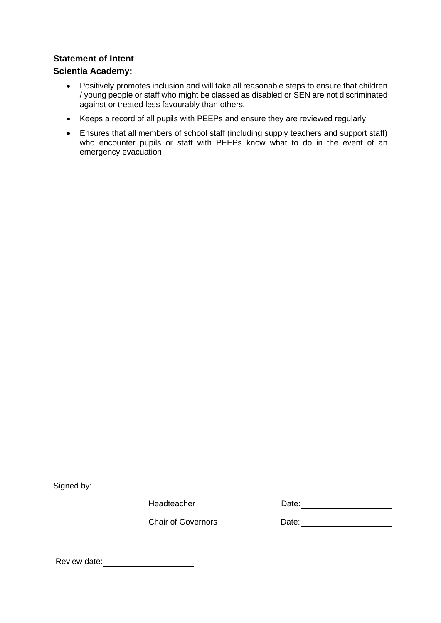#### **Statement of Intent**

#### **Scientia Academy:**

- Positively promotes inclusion and will take all reasonable steps to ensure that children / young people or staff who might be classed as disabled or SEN are not discriminated against or treated less favourably than others.
- Keeps a record of all pupils with PEEPs and ensure they are reviewed regularly.
- Ensures that all members of school staff (including supply teachers and support staff) who encounter pupils or staff with PEEPs know what to do in the event of an emergency evacuation

Signed by:

**Headteacher** Date: Date: Date: Date: Date: Date: Date: Date: Date: Date: Date: D

| Date: |  |  |  |
|-------|--|--|--|
|       |  |  |  |

Chair of Governors

Review date: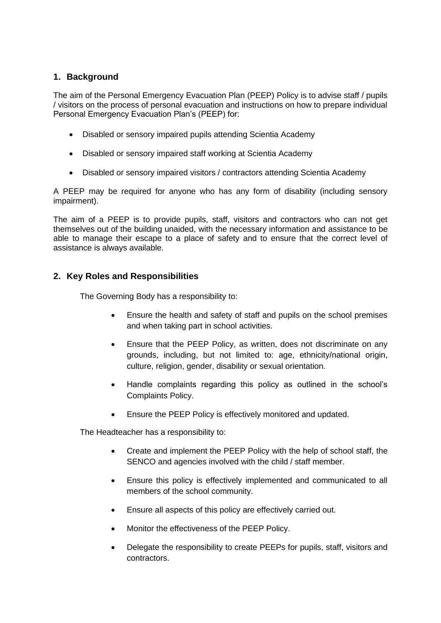#### **1. Background**

The aim of the Personal Emergency Evacuation Plan (PEEP) Policy is to advise staff / pupils / visitors on the process of personal evacuation and instructions on how to prepare individual Personal Emergency Evacuation Plan's (PEEP) for:

- Disabled or sensory impaired pupils attending Scientia Academy
- Disabled or sensory impaired staff working at Scientia Academy
- Disabled or sensory impaired visitors / contractors attending Scientia Academy

A PEEP may be required for anyone who has any form of disability (including sensory impairment).

The aim of a PEEP is to provide pupils, staff, visitors and contractors who can not get themselves out of the building unaided, with the necessary information and assistance to be able to manage their escape to a place of safety and to ensure that the correct level of assistance is always available.

#### **2. Key Roles and Responsibilities**

The Governing Body has a responsibility to:

- Ensure the health and safety of staff and pupils on the school premises and when taking part in school activities.
- Ensure that the PEEP Policy, as written, does not discriminate on any grounds, including, but not limited to: age, ethnicity/national origin, culture, religion, gender, disability or sexual orientation.
- Handle complaints regarding this policy as outlined in the school's Complaints Policy.
- Ensure the PEEP Policy is effectively monitored and updated.

The Headteacher has a responsibility to:

- Create and implement the PEEP Policy with the help of school staff, the SENCO and agencies involved with the child / staff member.
- Ensure this policy is effectively implemented and communicated to all members of the school community.
- Ensure all aspects of this policy are effectively carried out.
- Monitor the effectiveness of the PEEP Policy.
- Delegate the responsibility to create PEEPs for pupils, staff, visitors and contractors.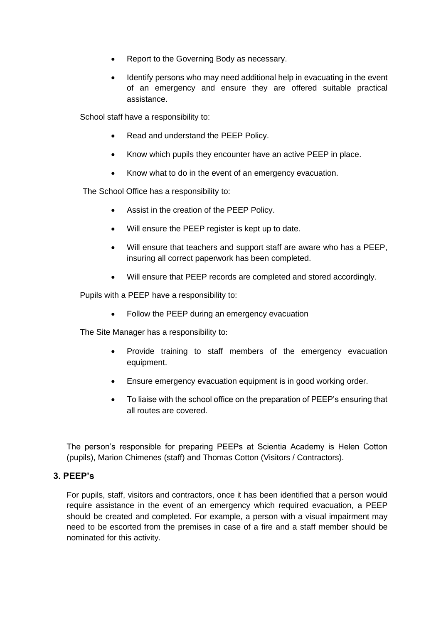- Report to the Governing Body as necessary.
- Identify persons who may need additional help in evacuating in the event of an emergency and ensure they are offered suitable practical assistance.

School staff have a responsibility to:

- Read and understand the PEEP Policy.
- Know which pupils they encounter have an active PEEP in place.
- Know what to do in the event of an emergency evacuation.

The School Office has a responsibility to:

- Assist in the creation of the PEEP Policy.
- Will ensure the PEEP register is kept up to date.
- Will ensure that teachers and support staff are aware who has a PEEP, insuring all correct paperwork has been completed.
- Will ensure that PEEP records are completed and stored accordingly.

Pupils with a PEEP have a responsibility to:

• Follow the PEEP during an emergency evacuation

The Site Manager has a responsibility to:

- Provide training to staff members of the emergency evacuation equipment.
- Ensure emergency evacuation equipment is in good working order.
- To liaise with the school office on the preparation of PEEP's ensuring that all routes are covered.

The person's responsible for preparing PEEPs at Scientia Academy is Helen Cotton (pupils), Marion Chimenes (staff) and Thomas Cotton (Visitors / Contractors).

#### **3. PEEP's**

For pupils, staff, visitors and contractors, once it has been identified that a person would require assistance in the event of an emergency which required evacuation, a PEEP should be created and completed. For example, a person with a visual impairment may need to be escorted from the premises in case of a fire and a staff member should be nominated for this activity.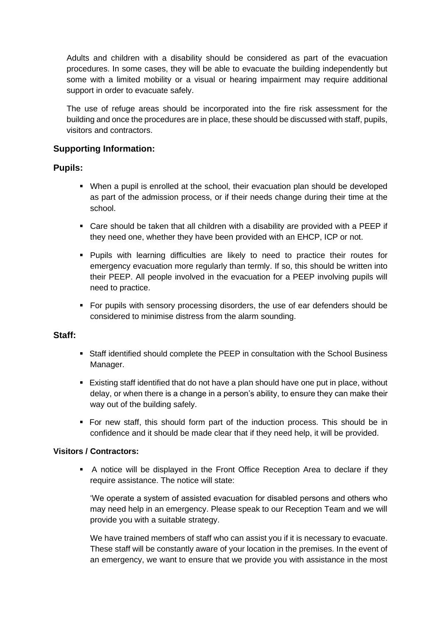Adults and children with a disability should be considered as part of the evacuation procedures. In some cases, they will be able to evacuate the building independently but some with a limited mobility or a visual or hearing impairment may require additional support in order to evacuate safely.

The use of refuge areas should be incorporated into the fire risk assessment for the building and once the procedures are in place, these should be discussed with staff, pupils, visitors and contractors.

#### **Supporting Information:**

#### **Pupils:**

- When a pupil is enrolled at the school, their evacuation plan should be developed as part of the admission process, or if their needs change during their time at the school.
- Care should be taken that all children with a disability are provided with a PEEP if they need one, whether they have been provided with an EHCP, ICP or not.
- Pupils with learning difficulties are likely to need to practice their routes for emergency evacuation more regularly than termly. If so, this should be written into their PEEP. All people involved in the evacuation for a PEEP involving pupils will need to practice.
- For pupils with sensory processing disorders, the use of ear defenders should be considered to minimise distress from the alarm sounding.

#### **Staff:**

- **Staff identified should complete the PEEP in consultation with the School Business** Manager.
- Existing staff identified that do not have a plan should have one put in place, without delay, or when there is a change in a person's ability, to ensure they can make their way out of the building safely.
- For new staff, this should form part of the induction process. This should be in confidence and it should be made clear that if they need help, it will be provided.

#### **Visitors / Contractors:**

▪ A notice will be displayed in the Front Office Reception Area to declare if they require assistance. The notice will state:

'We operate a system of assisted evacuation for disabled persons and others who may need help in an emergency. Please speak to our Reception Team and we will provide you with a suitable strategy.

We have trained members of staff who can assist you if it is necessary to evacuate. These staff will be constantly aware of your location in the premises. In the event of an emergency, we want to ensure that we provide you with assistance in the most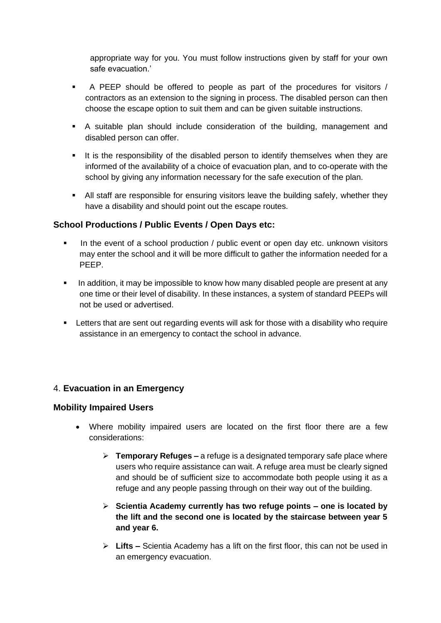appropriate way for you. You must follow instructions given by staff for your own safe evacuation.'

- A PEEP should be offered to people as part of the procedures for visitors / contractors as an extension to the signing in process. The disabled person can then choose the escape option to suit them and can be given suitable instructions.
- A suitable plan should include consideration of the building, management and disabled person can offer.
- **.** It is the responsibility of the disabled person to identify themselves when they are informed of the availability of a choice of evacuation plan, and to co-operate with the school by giving any information necessary for the safe execution of the plan.
- All staff are responsible for ensuring visitors leave the building safely, whether they have a disability and should point out the escape routes.

#### **School Productions / Public Events / Open Days etc:**

- In the event of a school production / public event or open day etc. unknown visitors may enter the school and it will be more difficult to gather the information needed for a PEEP.
- In addition, it may be impossible to know how many disabled people are present at any one time or their level of disability. In these instances, a system of standard PEEPs will not be used or advertised.
- **EXECT** Letters that are sent out regarding events will ask for those with a disability who require assistance in an emergency to contact the school in advance.

## 4. **Evacuation in an Emergency**

#### **Mobility Impaired Users**

- Where mobility impaired users are located on the first floor there are a few considerations:
	- ➢ **Temporary Refuges –** a refuge is a designated temporary safe place where users who require assistance can wait. A refuge area must be clearly signed and should be of sufficient size to accommodate both people using it as a refuge and any people passing through on their way out of the building.
	- ➢ **Scientia Academy currently has two refuge points – one is located by the lift and the second one is located by the staircase between year 5 and year 6.**
	- ➢ **Lifts –** Scientia Academy has a lift on the first floor, this can not be used in an emergency evacuation.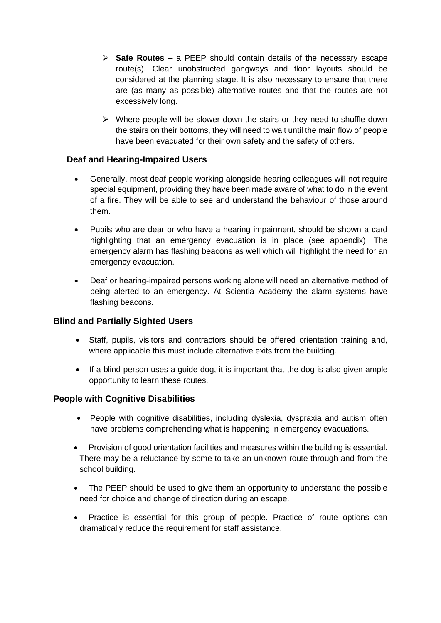- ➢ **Safe Routes –** a PEEP should contain details of the necessary escape route(s). Clear unobstructed gangways and floor layouts should be considered at the planning stage. It is also necessary to ensure that there are (as many as possible) alternative routes and that the routes are not excessively long.
- ➢ Where people will be slower down the stairs or they need to shuffle down the stairs on their bottoms, they will need to wait until the main flow of people have been evacuated for their own safety and the safety of others.

#### **Deaf and Hearing-Impaired Users**

- Generally, most deaf people working alongside hearing colleagues will not require special equipment, providing they have been made aware of what to do in the event of a fire. They will be able to see and understand the behaviour of those around them.
- Pupils who are dear or who have a hearing impairment, should be shown a card highlighting that an emergency evacuation is in place (see appendix). The emergency alarm has flashing beacons as well which will highlight the need for an emergency evacuation.
- Deaf or hearing-impaired persons working alone will need an alternative method of being alerted to an emergency. At Scientia Academy the alarm systems have flashing beacons.

#### **Blind and Partially Sighted Users**

- Staff, pupils, visitors and contractors should be offered orientation training and, where applicable this must include alternative exits from the building.
- If a blind person uses a guide dog, it is important that the dog is also given ample opportunity to learn these routes.

#### **People with Cognitive Disabilities**

- People with cognitive disabilities, including dyslexia, dyspraxia and autism often have problems comprehending what is happening in emergency evacuations.
- Provision of good orientation facilities and measures within the building is essential. There may be a reluctance by some to take an unknown route through and from the school building.
- The PEEP should be used to give them an opportunity to understand the possible need for choice and change of direction during an escape.
- Practice is essential for this group of people. Practice of route options can dramatically reduce the requirement for staff assistance.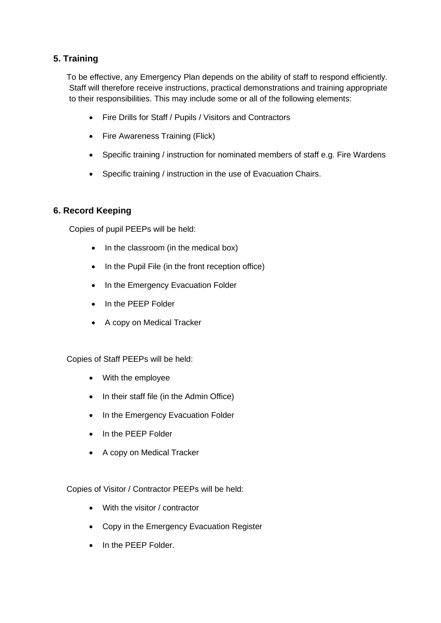## **5. Training**

To be effective, any Emergency Plan depends on the ability of staff to respond efficiently. Staff will therefore receive instructions, practical demonstrations and training appropriate to their responsibilities. This may include some or all of the following elements:

- Fire Drills for Staff / Pupils / Visitors and Contractors
- Fire Awareness Training (Flick)
- Specific training / instruction for nominated members of staff e.g. Fire Wardens
- Specific training / instruction in the use of Evacuation Chairs.

## **6. Record Keeping**

Copies of pupil PEEPs will be held:

- In the classroom (in the medical box)
- In the Pupil File (in the front reception office)
- In the Emergency Evacuation Folder
- In the PEEP Folder
- A copy on Medical Tracker

#### Copies of Staff PEEPs will be held:

- With the employee
- In their staff file (in the Admin Office)
- In the Emergency Evacuation Folder
- In the PEEP Folder
- A copy on Medical Tracker

Copies of Visitor / Contractor PEEPs will be held:

- With the visitor / contractor
- Copy in the Emergency Evacuation Register
- In the PEEP Folder.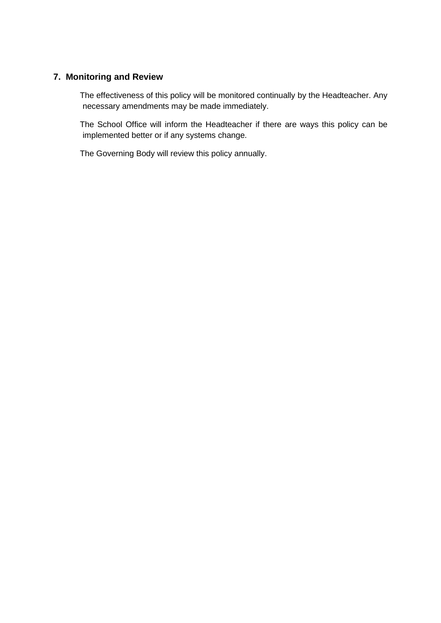### **7. Monitoring and Review**

The effectiveness of this policy will be monitored continually by the Headteacher. Any necessary amendments may be made immediately.

The School Office will inform the Headteacher if there are ways this policy can be implemented better or if any systems change.

The Governing Body will review this policy annually.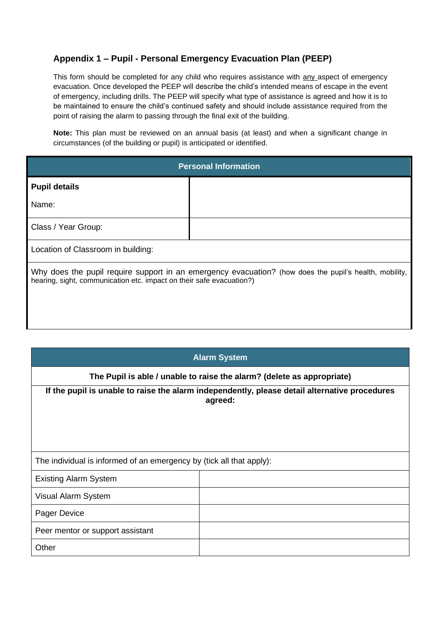## **Appendix 1 – Pupil - Personal Emergency Evacuation Plan (PEEP)**

This form should be completed for any child who requires assistance with any aspect of emergency evacuation. Once developed the PEEP will describe the child's intended means of escape in the event of emergency, including drills. The PEEP will specify what type of assistance is agreed and how it is to be maintained to ensure the child's continued safety and should include assistance required from the point of raising the alarm to passing through the final exit of the building.

**Note:** This plan must be reviewed on an annual basis (at least) and when a significant change in circumstances (of the building or pupil) is anticipated or identified.

| <b>Personal Information</b>                                                                                                                                                    |  |  |  |  |
|--------------------------------------------------------------------------------------------------------------------------------------------------------------------------------|--|--|--|--|
| <b>Pupil details</b>                                                                                                                                                           |  |  |  |  |
| Name:                                                                                                                                                                          |  |  |  |  |
| Class / Year Group:                                                                                                                                                            |  |  |  |  |
| Location of Classroom in building:                                                                                                                                             |  |  |  |  |
| Why does the pupil require support in an emergency evacuation? (how does the pupil's health, mobility,<br>hearing, sight, communication etc. impact on their safe evacuation?) |  |  |  |  |

| <b>Alarm System</b>                                                                                      |  |  |  |
|----------------------------------------------------------------------------------------------------------|--|--|--|
| The Pupil is able / unable to raise the alarm? (delete as appropriate)                                   |  |  |  |
| If the pupil is unable to raise the alarm independently, please detail alternative procedures<br>agreed: |  |  |  |
|                                                                                                          |  |  |  |
| The individual is informed of an emergency by (tick all that apply):                                     |  |  |  |
| <b>Existing Alarm System</b>                                                                             |  |  |  |
| Visual Alarm System                                                                                      |  |  |  |
| Pager Device                                                                                             |  |  |  |
| Peer mentor or support assistant                                                                         |  |  |  |
| Other                                                                                                    |  |  |  |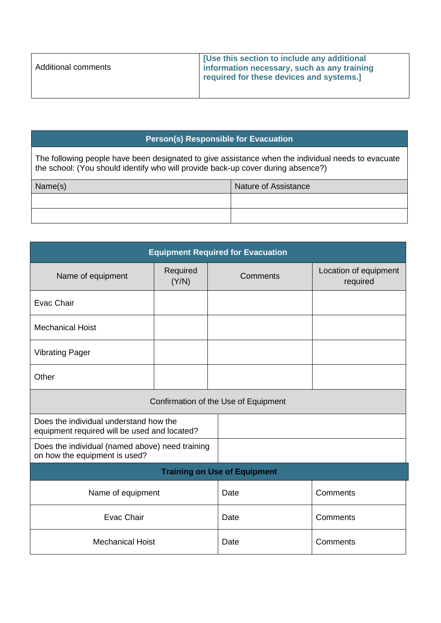| <b>Additional comments</b> | <b>I</b> [Use this section to include any additional<br>Information necessary, such as any training<br>required for these devices and systems.] |
|----------------------------|-------------------------------------------------------------------------------------------------------------------------------------------------|
|                            |                                                                                                                                                 |

## **Person(s) Responsible for Evacuation**

The following people have been designated to give assistance when the individual needs to evacuate the school: (You should identify who will provide back-up cover during absence?)

| Name(s) | <b>Nature of Assistance</b> |
|---------|-----------------------------|
|         |                             |
|         |                             |

| <b>Equipment Required for Evacuation</b>                                               |                   |          |                                   |  |
|----------------------------------------------------------------------------------------|-------------------|----------|-----------------------------------|--|
| Name of equipment                                                                      | Required<br>(Y/N) | Comments | Location of equipment<br>required |  |
| <b>Evac Chair</b>                                                                      |                   |          |                                   |  |
| <b>Mechanical Hoist</b>                                                                |                   |          |                                   |  |
| <b>Vibrating Pager</b>                                                                 |                   |          |                                   |  |
| Other                                                                                  |                   |          |                                   |  |
| Confirmation of the Use of Equipment                                                   |                   |          |                                   |  |
| Does the individual understand how the<br>equipment required will be used and located? |                   |          |                                   |  |
| Does the individual (named above) need training<br>on how the equipment is used?       |                   |          |                                   |  |
| <b>Training on Use of Equipment</b>                                                    |                   |          |                                   |  |
| Name of equipment                                                                      |                   | Date     | Comments                          |  |
| <b>Evac Chair</b>                                                                      |                   | Date     | Comments                          |  |
| <b>Mechanical Hoist</b>                                                                |                   | Date     | Comments                          |  |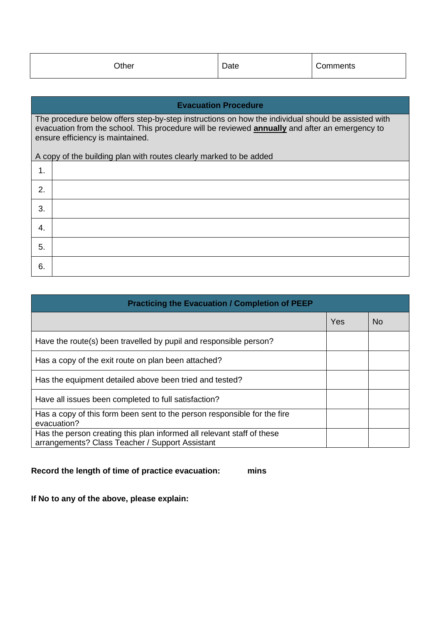| Other |                                                                                                                                                                                                                                                                                                                       | Date                        | Comments |
|-------|-----------------------------------------------------------------------------------------------------------------------------------------------------------------------------------------------------------------------------------------------------------------------------------------------------------------------|-----------------------------|----------|
|       |                                                                                                                                                                                                                                                                                                                       |                             |          |
|       |                                                                                                                                                                                                                                                                                                                       | <b>Evacuation Procedure</b> |          |
|       | The procedure below offers step-by-step instructions on how the individual should be assisted with<br>evacuation from the school. This procedure will be reviewed <b>annually</b> and after an emergency to<br>ensure efficiency is maintained.<br>A copy of the building plan with routes clearly marked to be added |                             |          |
| 1.    |                                                                                                                                                                                                                                                                                                                       |                             |          |
| 2.    |                                                                                                                                                                                                                                                                                                                       |                             |          |
| 3.    |                                                                                                                                                                                                                                                                                                                       |                             |          |
| 4.    |                                                                                                                                                                                                                                                                                                                       |                             |          |
| 5.    |                                                                                                                                                                                                                                                                                                                       |                             |          |
| 6.    |                                                                                                                                                                                                                                                                                                                       |                             |          |

| <b>Practicing the Evacuation / Completion of PEEP</b>                                                                     |     |           |  |  |
|---------------------------------------------------------------------------------------------------------------------------|-----|-----------|--|--|
|                                                                                                                           | Yes | <b>No</b> |  |  |
| Have the route(s) been travelled by pupil and responsible person?                                                         |     |           |  |  |
| Has a copy of the exit route on plan been attached?                                                                       |     |           |  |  |
| Has the equipment detailed above been tried and tested?                                                                   |     |           |  |  |
| Have all issues been completed to full satisfaction?                                                                      |     |           |  |  |
| Has a copy of this form been sent to the person responsible for the fire<br>evacuation?                                   |     |           |  |  |
| Has the person creating this plan informed all relevant staff of these<br>arrangements? Class Teacher / Support Assistant |     |           |  |  |

**Record the length of time of practice evacuation: mins**

**If No to any of the above, please explain:**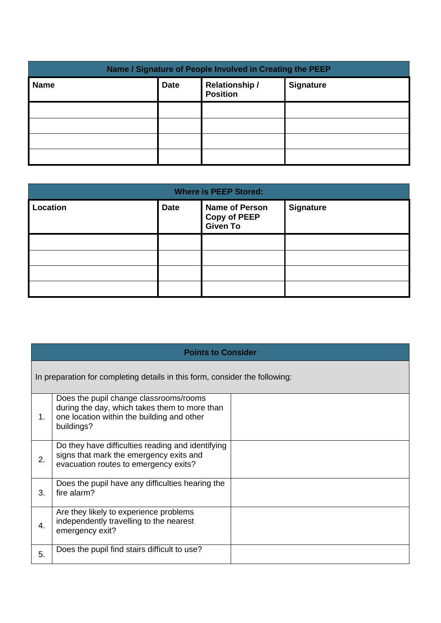| Name / Signature of People Involved in Creating the PEEP |             |                                         |                  |  |
|----------------------------------------------------------|-------------|-----------------------------------------|------------------|--|
| <b>Name</b>                                              | <b>Date</b> | <b>Relationship/</b><br><b>Position</b> | <b>Signature</b> |  |
|                                                          |             |                                         |                  |  |
|                                                          |             |                                         |                  |  |
|                                                          |             |                                         |                  |  |
|                                                          |             |                                         |                  |  |

| <b>Where is PEEP Stored:</b> |             |                                                          |                  |  |
|------------------------------|-------------|----------------------------------------------------------|------------------|--|
| <b>Location</b>              | <b>Date</b> | <b>Name of Person</b><br><b>Copy of PEEP</b><br>Given To | <b>Signature</b> |  |
|                              |             |                                                          |                  |  |
|                              |             |                                                          |                  |  |
|                              |             |                                                          |                  |  |
|                              |             |                                                          |                  |  |

|    | <b>Points to Consider</b>                                                                                                                           |  |  |  |  |
|----|-----------------------------------------------------------------------------------------------------------------------------------------------------|--|--|--|--|
|    | In preparation for completing details in this form, consider the following:                                                                         |  |  |  |  |
| 1. | Does the pupil change classrooms/rooms<br>during the day, which takes them to more than<br>one location within the building and other<br>buildings? |  |  |  |  |
| 2. | Do they have difficulties reading and identifying<br>signs that mark the emergency exits and<br>evacuation routes to emergency exits?               |  |  |  |  |
| 3. | Does the pupil have any difficulties hearing the<br>fire alarm?                                                                                     |  |  |  |  |
| 4. | Are they likely to experience problems<br>independently travelling to the nearest<br>emergency exit?                                                |  |  |  |  |
| 5. | Does the pupil find stairs difficult to use?                                                                                                        |  |  |  |  |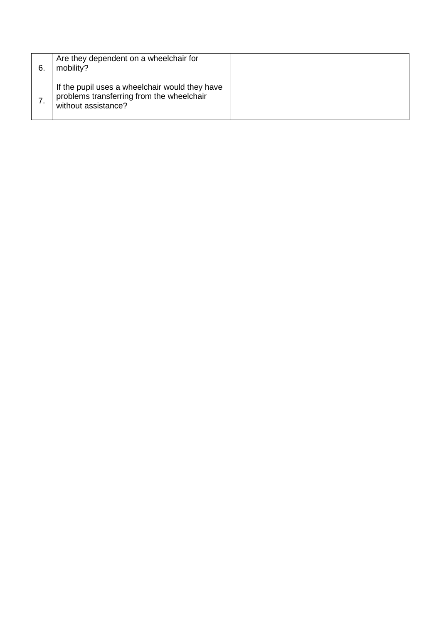| 6 | Are they dependent on a wheelchair for<br>mobility?                                                                |  |
|---|--------------------------------------------------------------------------------------------------------------------|--|
|   | If the pupil uses a wheelchair would they have<br>problems transferring from the wheelchair<br>without assistance? |  |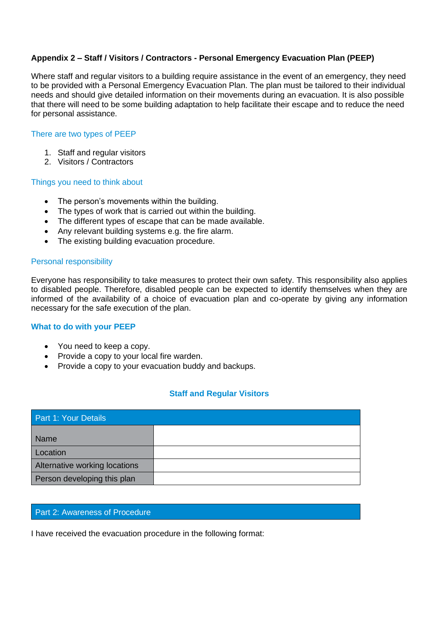#### **Appendix 2 – Staff / Visitors / Contractors - Personal Emergency Evacuation Plan (PEEP)**

Where staff and regular visitors to a building require assistance in the event of an emergency, they need to be provided with a Personal Emergency Evacuation Plan. The plan must be tailored to their individual needs and should give detailed information on their movements during an evacuation. It is also possible that there will need to be some building adaptation to help facilitate their escape and to reduce the need for personal assistance.

#### There are two types of PEEP

- 1. Staff and regular visitors
- 2. Visitors / Contractors

#### Things you need to think about

- The person's movements within the building.
- The types of work that is carried out within the building.
- The different types of escape that can be made available.
- Any relevant building systems e.g. the fire alarm.
- The existing building evacuation procedure.

#### Personal responsibility

Everyone has responsibility to take measures to protect their own safety. This responsibility also applies to disabled people. Therefore, disabled people can be expected to identify themselves when they are informed of the availability of a choice of evacuation plan and co-operate by giving any information necessary for the safe execution of the plan.

#### **What to do with your PEEP**

- You need to keep a copy.
- Provide a copy to your local fire warden.
- Provide a copy to your evacuation buddy and backups.

#### **Staff and Regular Visitors**

| Part 1: Your Details          |  |  |
|-------------------------------|--|--|
| <b>Name</b>                   |  |  |
| Location                      |  |  |
| Alternative working locations |  |  |
| Person developing this plan   |  |  |

#### Part 2: Awareness of Procedure

I have received the evacuation procedure in the following format: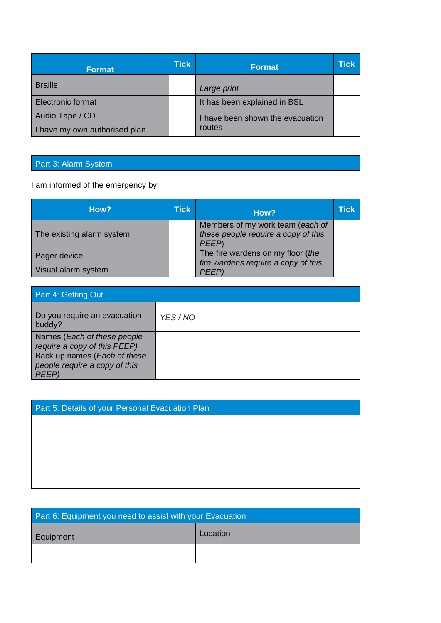| <b>Format</b>                 | <b>Tick</b> | <b>Format</b>                    | <b>Tick</b> |
|-------------------------------|-------------|----------------------------------|-------------|
| <b>Braille</b>                |             | Large print                      |             |
| <b>Electronic format</b>      |             | It has been explained in BSL     |             |
| Audio Tape / CD               |             | I have been shown the evacuation |             |
| I have my own authorised plan |             | routes                           |             |

## Part 3: Alarm System

I am informed of the emergency by:

| How?                                | <b>Tick</b> | How?                                                                            | <b>Tick</b> |
|-------------------------------------|-------------|---------------------------------------------------------------------------------|-------------|
| The existing alarm system           |             | Members of my work team (each of<br>these people require a copy of this<br>PEEP |             |
| Pager device<br>Visual alarm system |             | The fire wardens on my floor (the<br>fire wardens require a copy of this        |             |
|                                     |             | <b>PFFP</b>                                                                     |             |

| Part 4: Getting Out                                                          |          |  |
|------------------------------------------------------------------------------|----------|--|
| Do you require an evacuation<br>buddy?                                       | YES / NO |  |
| Names (Each of these people)<br>require a copy of this PEEP)                 |          |  |
| Back up names (Each of these<br>people require a copy of this<br><i>PFFP</i> |          |  |

| Part 5: Details of your Personal Evacuation Plan |  |
|--------------------------------------------------|--|
|                                                  |  |

| Part 6: Equipment you need to assist with your Evacuation |          |  |
|-----------------------------------------------------------|----------|--|
| Equipment                                                 | Location |  |
|                                                           |          |  |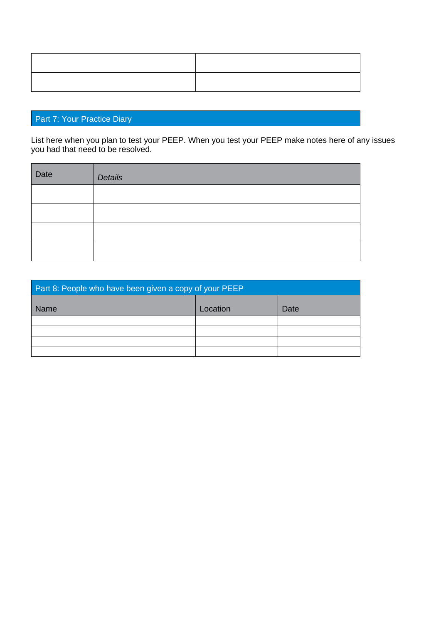## Part 7: Your Practice Diary

List here when you plan to test your PEEP. When you test your PEEP make notes here of any issues you had that need to be resolved.

| Date | Details |
|------|---------|
|      |         |
|      |         |
|      |         |
|      |         |

| Part 8: People who have been given a copy of your PEEP |          |      |
|--------------------------------------------------------|----------|------|
| Name                                                   | Location | Date |
|                                                        |          |      |
|                                                        |          |      |
|                                                        |          |      |
|                                                        |          |      |